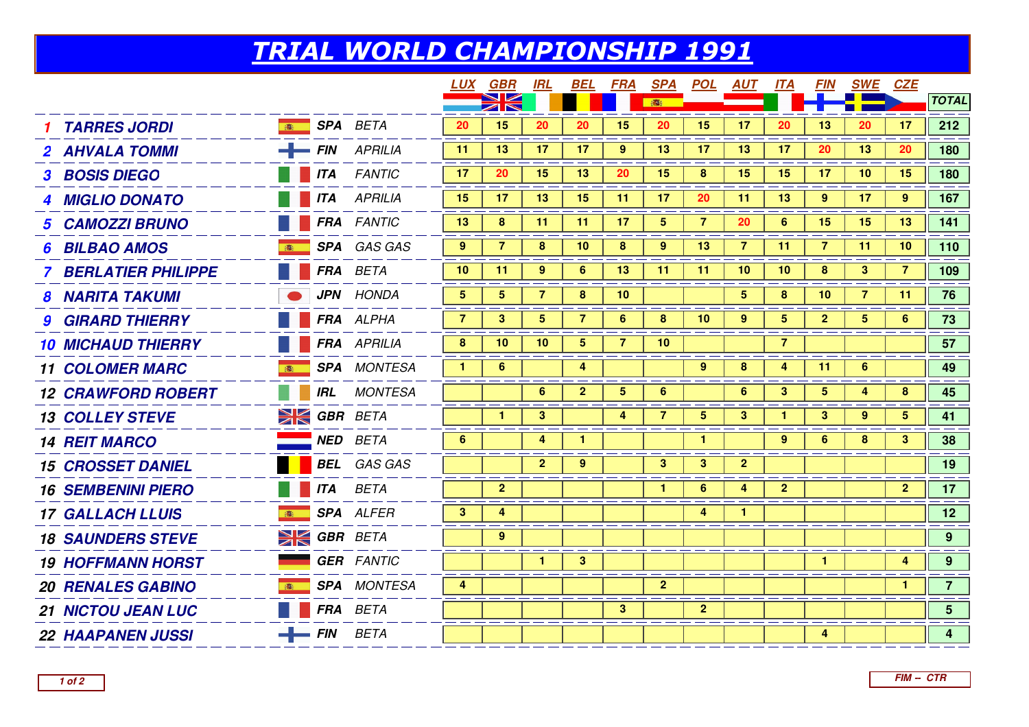## TRIAL WORLD CHAMPIONSHIP 1991

|                              |                         |                    |                | <u>LUX GBR</u>                                 | IRL            | BEL             | FRA             | <u>SPA</u>      |                | <u>POL AUT</u>  | <u> ІТА</u>     | <i>FIN</i>      | <b>SWE</b>     | <b>CZE</b>   |                |
|------------------------------|-------------------------|--------------------|----------------|------------------------------------------------|----------------|-----------------|-----------------|-----------------|----------------|-----------------|-----------------|-----------------|----------------|--------------|----------------|
|                              |                         |                    |                | $\blacktriangleright$<br>$\blacktriangleright$ |                |                 |                 | 高               |                |                 |                 |                 |                |              | <b>TOTAL</b>   |
| <b>TARRES JORDI</b>          |                         | <b>SPA</b> BETA    | 20             | 15                                             | 20             | 20              | 15              | 20              | 15             | 17              | 20              | 13              | 20             | 17           | 212            |
| 2 AHVALA TOMMI               |                         | $-$ FIN APRILIA    | 11             | 13                                             | 17             | 17              | 9               | 13              | 17             | 13              | 17              | 20              | 13             | 20           | 180            |
| <b>3 BOSIS DIEGO</b>         |                         | <b>ITA</b> FANTIC  | 17             | 20                                             | 15             | 13              | 20              | 15              | 8              | 15              | 15              | 17              | 10             | 15           | 180            |
| 4 MIGLIO DONATO              |                         | <b>TTA</b> APRILIA | 15             | 17                                             | 13             | 15              | 11              | 17              | 20             | 11              | 13              | 9               | 17             | 9            | 167            |
| <b>CAMOZZI BRUNO</b>         |                         | <b>FRA</b> FANTIC  | 13             | 8                                              | 11             | 11              | 17              | $5\phantom{.0}$ | $\overline{7}$ | 20              | $6^{\circ}$     | 15              | 15             | 13           | 141            |
| <b>BILBAO AMOS</b>           |                         | SPA GAS GAS        | $9^{\circ}$    | $\overline{7}$                                 | 8              | 10 <sup>°</sup> | 8               | 9               | 13             | $\overline{7}$  | 11              | $\overline{7}$  | 11             | 10           | 110            |
| <b>7 BERLATIER PHILIPPE</b>  |                         | FRA BETA           | 10             | 11                                             | 9              | 6               | 13 <sup>°</sup> | 11              | -11            | 10              | 10 <sup>°</sup> | 8               | 3              | 7            | 109            |
| <b>8 NARITA TAKUMI</b>       |                         | <b>JPN</b> HONDA   | 5 <sup>5</sup> | $5\phantom{.0}$                                | $\overline{7}$ | 8               | 10 <sub>1</sub> |                 |                | $5\phantom{.0}$ | 8               | 10 <sub>1</sub> | $\overline{7}$ | 11           | 76             |
| <b>9 GIRARD THIERRY</b>      |                         | FRA ALPHA          | $\overline{7}$ | 3                                              | 5              | $\overline{7}$  | 6               | 8               | 10             | 9               | 5               | 2 <sub>1</sub>  | 5 <sub>5</sub> | 6            | 73             |
| <b>10 MICHAUD THIERRY</b>    |                         | <b>FRA</b> APRILIA | 8              | 10                                             | 10             | 5.              | 7               | 10              |                |                 | 7               |                 |                |              | 57             |
| <b>11 COLOMER MARC</b><br>高  |                         | <b>SPA</b> MONTESA | $\mathbf{1}$   | 6                                              |                | 4               |                 |                 | 9              | 8               | 4               | 11              | 6              |              | 49             |
| <b>12 CRAWFORD ROBERT</b>    | IRL                     | MONTESA            |                |                                                | 6              | $\mathbf{2}$    | 5               | 6               |                | 6               | 3               | 5               | 4              | 8            | 45             |
| <b>13 COLLEY STEVE</b>       | <b>EX GBR BETA</b>      |                    |                | $\mathbf{1}$                                   | $\mathbf{3}$   |                 | 4               | $\overline{7}$  | 5              | 3               |                 | 3               | 9              | $5^{\circ}$  | 41             |
| <b>14 REIT MARCO</b>         |                         | <b>NED</b> BETA    | 6              |                                                | 4              | $\mathbf{1}$    |                 |                 | $\mathbf{1}$   |                 | 9               | 6               | 8              | $\mathbf{3}$ | 38             |
| <b>15 CROSSET DANIEL</b>     |                         | <b>BEL</b> GAS GAS |                |                                                | $\overline{2}$ | 9               |                 | 3 <sup>1</sup>  | $\mathbf{3}$   | $\overline{2}$  |                 |                 |                |              | 19             |
| <b>16 SEMBENINI PIERO</b>    |                         | <b>ITA</b> BETA    |                | $\overline{2}$                                 |                |                 |                 | 1.              | 6              | 4               | $\mathbf{2}$    |                 |                | $\mathbf{2}$ | 17             |
| <b>17 GALLACH LLUIS</b><br>高 |                         | <b>SPA</b> ALFER   | 3 <sup>1</sup> | 4                                              |                |                 |                 |                 | 4              | $\mathbf{1}$    |                 |                 |                |              | 12             |
| <b>18 SAUNDERS STEVE</b>     | <b>EXECUTE GBR</b> BETA |                    |                | 9                                              |                |                 |                 |                 |                |                 |                 |                 |                |              | 9 <sup>°</sup> |
| <b>19 HOFFMANN HORST</b>     |                         | <b>GER</b> FANTIC  |                |                                                | $\mathbf{1}$   | $3^{\circ}$     |                 |                 |                |                 |                 | 1.              |                | 4            | 9 <sub>o</sub> |
| <b>20 RENALES GABINO</b>     |                         | <b>SPA</b> MONTESA | 4              |                                                |                |                 |                 | 2 <sup>2</sup>  |                |                 |                 |                 |                | $\mathbf{1}$ | 7 <sup>7</sup> |
| <b>21 NICTOU JEAN LUC</b>    |                         | FRA BETA           |                |                                                |                |                 | 3 <sup>1</sup>  |                 | $\overline{2}$ |                 |                 |                 |                |              | 5 <sup>5</sup> |
| <b>22 HAAPANEN JUSSI</b>     | $-$ FIN BETA            |                    |                |                                                |                |                 |                 |                 |                |                 |                 | 4               |                |              | $\overline{4}$ |